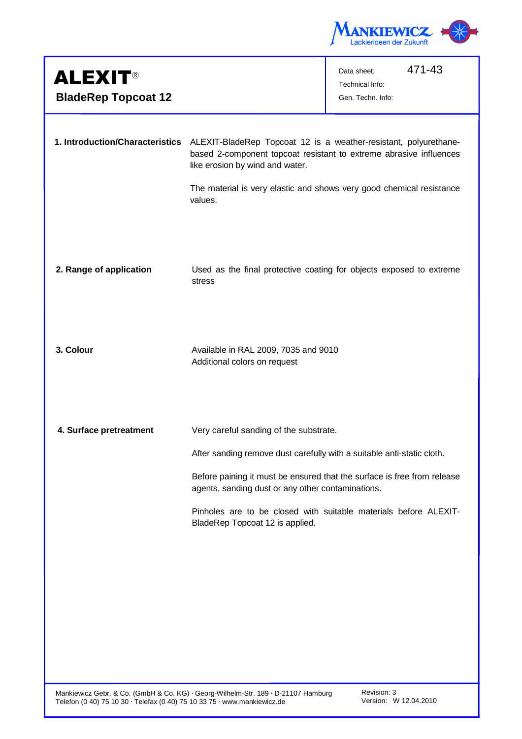

| <b>ALEXIT®</b>                  |                                                                                                                                                                                                                                                   | 471-43<br>Data sheet:<br>Technical Info:                            |
|---------------------------------|---------------------------------------------------------------------------------------------------------------------------------------------------------------------------------------------------------------------------------------------------|---------------------------------------------------------------------|
| <b>BladeRep Topcoat 12</b>      |                                                                                                                                                                                                                                                   | Gen. Techn. Info:                                                   |
| 1. Introduction/Characteristics | ALEXIT-BladeRep Topcoat 12 is a weather-resistant, polyurethane-<br>based 2-component topcoat resistant to extreme abrasive influences<br>like erosion by wind and water.<br>The material is very elastic and shows very good chemical resistance |                                                                     |
|                                 | values.                                                                                                                                                                                                                                           |                                                                     |
| 2. Range of application         | stress                                                                                                                                                                                                                                            | Used as the final protective coating for objects exposed to extreme |
| 3. Colour                       | Available in RAL 2009, 7035 and 9010<br>Additional colors on request                                                                                                                                                                              |                                                                     |
| 4. Surface pretreatment         | Very careful sanding of the substrate.                                                                                                                                                                                                            |                                                                     |
|                                 | After sanding remove dust carefully with a suitable anti-static cloth.                                                                                                                                                                            |                                                                     |
|                                 | Before paining it must be ensured that the surface is free from release<br>agents, sanding dust or any other contaminations.                                                                                                                      |                                                                     |
|                                 | BladeRep Topcoat 12 is applied.                                                                                                                                                                                                                   | Pinholes are to be closed with suitable materials before ALEXIT-    |
|                                 |                                                                                                                                                                                                                                                   |                                                                     |
|                                 |                                                                                                                                                                                                                                                   |                                                                     |
|                                 |                                                                                                                                                                                                                                                   |                                                                     |